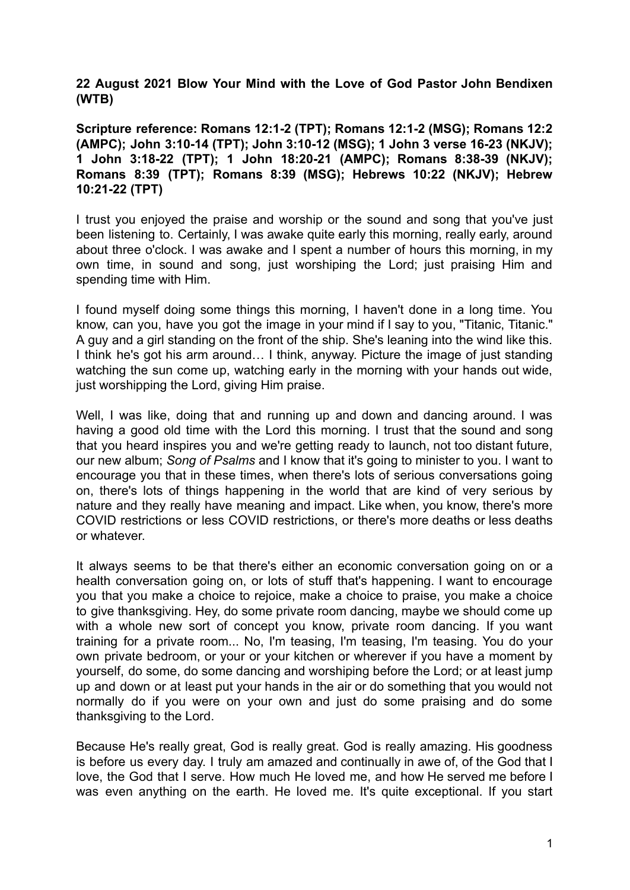**22 August 2021 Blow Your Mind with the Love of God Pastor John Bendixen (WTB)**

**Scripture reference: Romans 12:1-2 (TPT); Romans 12:1-2 (MSG); Romans 12:2 (AMPC); John 3:10-14 (TPT); John 3:10-12 (MSG); 1 John 3 verse 16-23 (NKJV); 1 John 3:18-22 (TPT); 1 John 18:20-21 (AMPC); Romans 8:38-39 (NKJV); Romans 8:39 (TPT); Romans 8:39 (MSG); Hebrews 10:22 (NKJV); Hebrew 10:21-22 (TPT)**

I trust you enjoyed the praise and worship or the sound and song that you've just been listening to. Certainly, I was awake quite early this morning, really early, around about three o'clock. I was awake and I spent a number of hours this morning, in my own time, in sound and song, just worshiping the Lord; just praising Him and spending time with Him.

I found myself doing some things this morning, I haven't done in a long time. You know, can you, have you got the image in your mind if I say to you, "Titanic, Titanic." A guy and a girl standing on the front of the ship. She's leaning into the wind like this. I think he's got his arm around… I think, anyway. Picture the image of just standing watching the sun come up, watching early in the morning with your hands out wide, just worshipping the Lord, giving Him praise.

Well, I was like, doing that and running up and down and dancing around. I was having a good old time with the Lord this morning. I trust that the sound and song that you heard inspires you and we're getting ready to launch, not too distant future, our new album; *Song of Psalms* and I know that it's going to minister to you. I want to encourage you that in these times, when there's lots of serious conversations going on, there's lots of things happening in the world that are kind of very serious by nature and they really have meaning and impact. Like when, you know, there's more COVID restrictions or less COVID restrictions, or there's more deaths or less deaths or whatever.

It always seems to be that there's either an economic conversation going on or a health conversation going on, or lots of stuff that's happening. I want to encourage you that you make a choice to rejoice, make a choice to praise, you make a choice to give thanksgiving. Hey, do some private room dancing, maybe we should come up with a whole new sort of concept you know, private room dancing. If you want training for a private room... No, I'm teasing, I'm teasing, I'm teasing. You do your own private bedroom, or your or your kitchen or wherever if you have a moment by yourself, do some, do some dancing and worshiping before the Lord; or at least jump up and down or at least put your hands in the air or do something that you would not normally do if you were on your own and just do some praising and do some thanksgiving to the Lord.

Because He's really great, God is really great. God is really amazing. His goodness is before us every day. I truly am amazed and continually in awe of, of the God that I love, the God that I serve. How much He loved me, and how He served me before I was even anything on the earth. He loved me. It's quite exceptional. If you start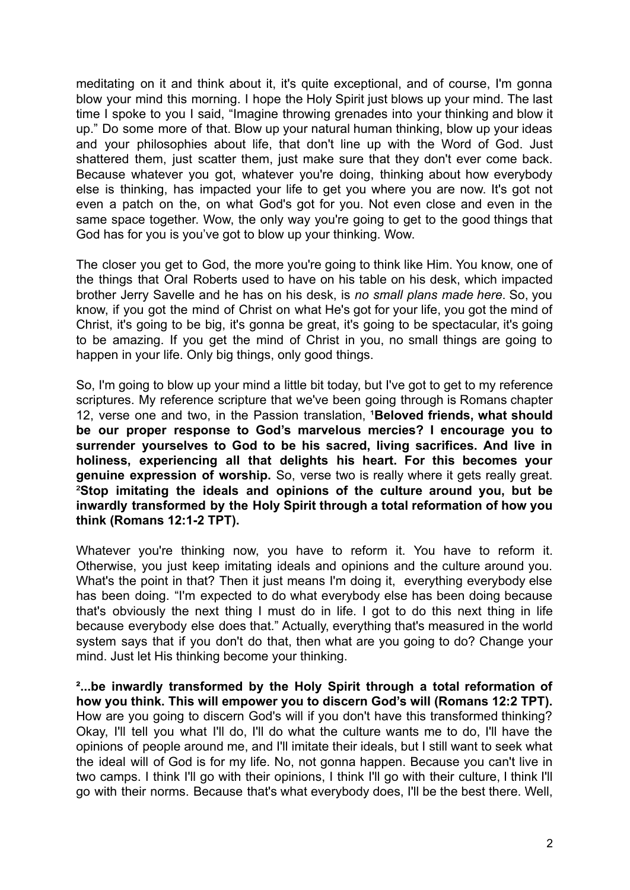meditating on it and think about it, it's quite exceptional, and of course, I'm gonna blow your mind this morning. I hope the Holy Spirit just blows up your mind. The last time I spoke to you I said, "Imagine throwing grenades into your thinking and blow it up." Do some more of that. Blow up your natural human thinking, blow up your ideas and your philosophies about life, that don't line up with the Word of God. Just shattered them, just scatter them, just make sure that they don't ever come back. Because whatever you got, whatever you're doing, thinking about how everybody else is thinking, has impacted your life to get you where you are now. It's got not even a patch on the, on what God's got for you. Not even close and even in the same space together. Wow, the only way you're going to get to the good things that God has for you is you've got to blow up your thinking. Wow.

The closer you get to God, the more you're going to think like Him. You know, one of the things that Oral Roberts used to have on his table on his desk, which impacted brother Jerry Savelle and he has on his desk, is *no small plans made here*. So, you know, if you got the mind of Christ on what He's got for your life, you got the mind of Christ, it's going to be big, it's gonna be great, it's going to be spectacular, it's going to be amazing. If you get the mind of Christ in you, no small things are going to happen in your life. Only big things, only good things.

So, I'm going to blow up your mind a little bit today, but I've got to get to my reference scriptures. My reference scripture that we've been going through is Romans chapter 12, verse one and two, in the Passion translation, <sup>1</sup>Beloved friends, what should **be our proper response to God's marvelous mercies? I encourage you to surrender yourselves to God to be his sacred, living sacrifices. And live in holiness, experiencing all that delights his heart. For this becomes your genuine expression of worship.** So, verse two is really where it gets really great. ²**Stop imitating the ideals and opinions of the culture around you, but be inwardly transformed by the Holy Spirit through a total reformation of how you think (Romans 12:1-2 TPT).**

Whatever you're thinking now, you have to reform it. You have to reform it. Otherwise, you just keep imitating ideals and opinions and the culture around you. What's the point in that? Then it just means I'm doing it, everything everybody else has been doing. "I'm expected to do what everybody else has been doing because that's obviously the next thing I must do in life. I got to do this next thing in life because everybody else does that." Actually, everything that's measured in the world system says that if you don't do that, then what are you going to do? Change your mind. Just let His thinking become your thinking.

**²...be inwardly transformed by the Holy Spirit through a total reformation of how you think. This will empower you to discern God's will (Romans 12:2 TPT).** How are you going to discern God's will if you don't have this transformed thinking? Okay, I'll tell you what I'll do, I'll do what the culture wants me to do, I'll have the opinions of people around me, and I'll imitate their ideals, but I still want to seek what the ideal will of God is for my life. No, not gonna happen. Because you can't live in two camps. I think I'll go with their opinions, I think I'll go with their culture, I think I'll go with their norms. Because that's what everybody does, I'll be the best there. Well,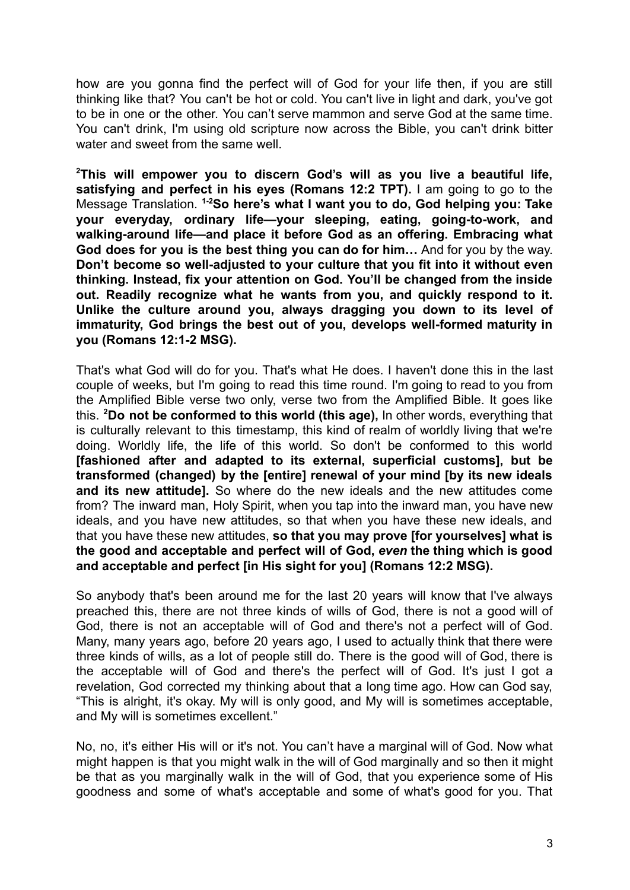how are you gonna find the perfect will of God for your life then, if you are still thinking like that? You can't be hot or cold. You can't live in light and dark, you've got to be in one or the other. You can't serve mammon and serve God at the same time. You can't drink, I'm using old scripture now across the Bible, you can't drink bitter water and sweet from the same well.

**<sup>2</sup>This will empower you to discern God's will as you live a beautiful life, satisfying and perfect in his eyes (Romans 12:2 TPT).** I am going to go to the Message Translation. **1-2So here's what I want you to do, God helping you: Take your everyday, ordinary life—your sleeping, eating, going-to-work, and walking-around life—and place it before God as an offering. Embracing what God does for you is the best thing you can do for him…** And for you by the way. **Don't become so well-adjusted to your culture that you fit into it without even thinking. Instead, fix your attention on God. You'll be changed from the inside out. Readily recognize what he wants from you, and quickly respond to it. Unlike the culture around you, always dragging you down to its level of immaturity, God brings the best out of you, develops well-formed maturity in you (Romans 12:1-2 MSG).**

That's what God will do for you. That's what He does. I haven't done this in the last couple of weeks, but I'm going to read this time round. I'm going to read to you from the Amplified Bible verse two only, verse two from the Amplified Bible. It goes like this. **<sup>2</sup>Do not be conformed to this world (this age),** In other words, everything that is culturally relevant to this timestamp, this kind of realm of worldly living that we're doing. Worldly life, the life of this world. So don't be conformed to this world **[fashioned after and adapted to its external, superficial customs], but be transformed (changed) by the [entire] renewal of your mind [by its new ideals and its new attitude].** So where do the new ideals and the new attitudes come from? The inward man, Holy Spirit, when you tap into the inward man, you have new ideals, and you have new attitudes, so that when you have these new ideals, and that you have these new attitudes, **so that you may prove [for yourselves] what is the good and acceptable and perfect will of God,** *even* **the thing which is good and acceptable and perfect [in His sight for you] (Romans 12:2 MSG).**

So anybody that's been around me for the last 20 years will know that I've always preached this, there are not three kinds of wills of God, there is not a good will of God, there is not an acceptable will of God and there's not a perfect will of God. Many, many years ago, before 20 years ago, I used to actually think that there were three kinds of wills, as a lot of people still do. There is the good will of God, there is the acceptable will of God and there's the perfect will of God. It's just I got a revelation, God corrected my thinking about that a long time ago. How can God say, "This is alright, it's okay. My will is only good, and My will is sometimes acceptable, and My will is sometimes excellent."

No, no, it's either His will or it's not. You can't have a marginal will of God. Now what might happen is that you might walk in the will of God marginally and so then it might be that as you marginally walk in the will of God, that you experience some of His goodness and some of what's acceptable and some of what's good for you. That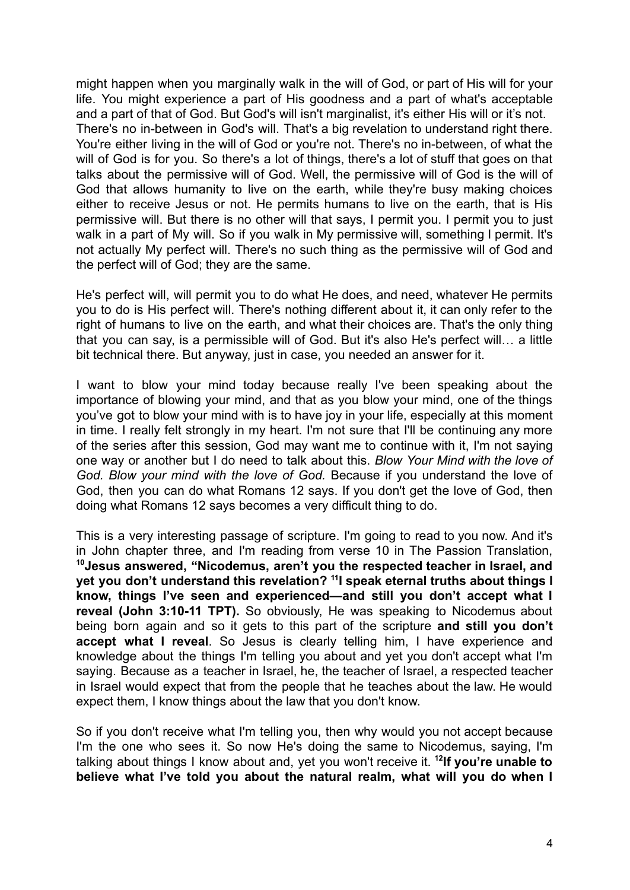might happen when you marginally walk in the will of God, or part of His will for your life. You might experience a part of His goodness and a part of what's acceptable and a part of that of God. But God's will isn't marginalist, it's either His will or it's not. There's no in-between in God's will. That's a big revelation to understand right there. You're either living in the will of God or you're not. There's no in-between, of what the will of God is for you. So there's a lot of things, there's a lot of stuff that goes on that talks about the permissive will of God. Well, the permissive will of God is the will of God that allows humanity to live on the earth, while they're busy making choices either to receive Jesus or not. He permits humans to live on the earth, that is His permissive will. But there is no other will that says, I permit you. I permit you to just walk in a part of My will. So if you walk in My permissive will, something I permit. It's not actually My perfect will. There's no such thing as the permissive will of God and the perfect will of God; they are the same.

He's perfect will, will permit you to do what He does, and need, whatever He permits you to do is His perfect will. There's nothing different about it, it can only refer to the right of humans to live on the earth, and what their choices are. That's the only thing that you can say, is a permissible will of God. But it's also He's perfect will… a little bit technical there. But anyway, just in case, you needed an answer for it.

I want to blow your mind today because really I've been speaking about the importance of blowing your mind, and that as you blow your mind, one of the things you've got to blow your mind with is to have joy in your life, especially at this moment in time. I really felt strongly in my heart. I'm not sure that I'll be continuing any more of the series after this session, God may want me to continue with it, I'm not saying one way or another but I do need to talk about this. *Blow Your Mind with the love of God. Blow your mind with the love of God.* Because if you understand the love of God, then you can do what Romans 12 says. If you don't get the love of God, then doing what Romans 12 says becomes a very difficult thing to do.

This is a very interesting passage of scripture. I'm going to read to you now. And it's in John chapter three, and I'm reading from verse 10 in The Passion Translation, **<sup>10</sup>Jesus answered, "Nicodemus, aren't you the respected teacher in Israel, and yet you don't understand this revelation? <sup>11</sup> I speak eternal truths about things I know, things I've seen and experienced—and still you don't accept what I reveal (John 3:10-11 TPT).** So obviously, He was speaking to Nicodemus about being born again and so it gets to this part of the scripture **and still you don't accept what I reveal**. So Jesus is clearly telling him, I have experience and knowledge about the things I'm telling you about and yet you don't accept what I'm saying. Because as a teacher in Israel, he, the teacher of Israel, a respected teacher in Israel would expect that from the people that he teaches about the law. He would expect them, I know things about the law that you don't know.

So if you don't receive what I'm telling you, then why would you not accept because I'm the one who sees it. So now He's doing the same to Nicodemus, saying, I'm talking about things I know about and, yet you won't receive it. **<sup>12</sup> If you're unable to believe what I've told you about the natural realm, what will you do when I**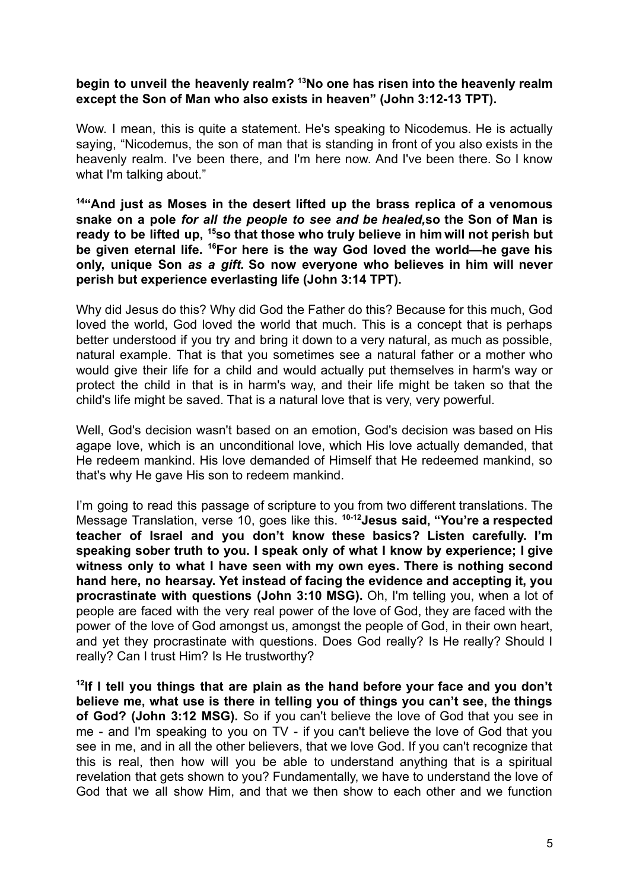## **begin to unveil the heavenly realm? <sup>13</sup>No one has risen into the heavenly realm except the Son of Man who also exists in heaven" (John 3:12-13 TPT).**

Wow. I mean, this is quite a statement. He's speaking to Nicodemus. He is actually saying, "Nicodemus, the son of man that is standing in front of you also exists in the heavenly realm. I've been there, and I'm here now. And I've been there. So I know what I'm talking about."

**<sup>14</sup>"And just as Moses in the desert lifted up the brass replica of a venomous snake on a pole** *for all the people to see and be healed,***so the Son of Man is ready to be lifted up, <sup>15</sup>so that those who truly believe in him will not perish but be given eternal life. <sup>16</sup>For here is the way God loved the world—he gave his only, unique Son** *as a gift.* **So now everyone who believes in him will never perish but experience everlasting life (John 3:14 TPT).**

Why did Jesus do this? Why did God the Father do this? Because for this much, God loved the world, God loved the world that much. This is a concept that is perhaps better understood if you try and bring it down to a very natural, as much as possible, natural example. That is that you sometimes see a natural father or a mother who would give their life for a child and would actually put themselves in harm's way or protect the child in that is in harm's way, and their life might be taken so that the child's life might be saved. That is a natural love that is very, very powerful.

Well, God's decision wasn't based on an emotion, God's decision was based on His agape love, which is an unconditional love, which His love actually demanded, that He redeem mankind. His love demanded of Himself that He redeemed mankind, so that's why He gave His son to redeem mankind.

I'm going to read this passage of scripture to you from two different translations. The Message Translation, verse 10, goes like this. **10-12Jesus said, "You're a respected teacher of Israel and you don't know these basics? Listen carefully. I'm speaking sober truth to you. I speak only of what I know by experience; I give witness only to what I have seen with my own eyes. There is nothing second hand here, no hearsay. Yet instead of facing the evidence and accepting it, you procrastinate with questions (John 3:10 MSG).** Oh, I'm telling you, when a lot of people are faced with the very real power of the love of God, they are faced with the power of the love of God amongst us, amongst the people of God, in their own heart, and yet they procrastinate with questions. Does God really? Is He really? Should I really? Can I trust Him? Is He trustworthy?

**12 If I tell you things that are plain as the hand before your face and you don't believe me, what use is there in telling you of things you can't see, the things of God? (John 3:12 MSG).** So if you can't believe the love of God that you see in me - and I'm speaking to you on TV - if you can't believe the love of God that you see in me, and in all the other believers, that we love God. If you can't recognize that this is real, then how will you be able to understand anything that is a spiritual revelation that gets shown to you? Fundamentally, we have to understand the love of God that we all show Him, and that we then show to each other and we function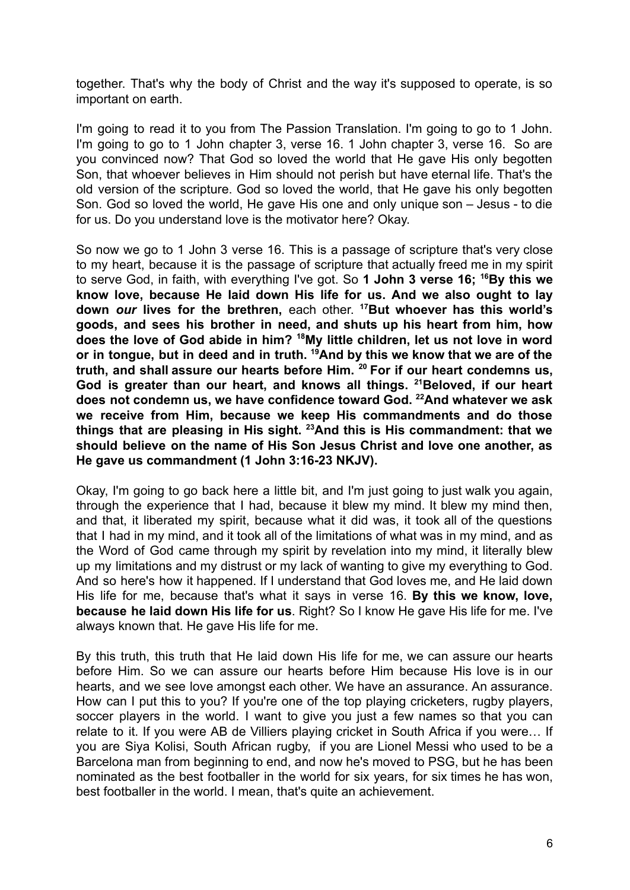together. That's why the body of Christ and the way it's supposed to operate, is so important on earth.

I'm going to read it to you from The Passion Translation. I'm going to go to 1 John. I'm going to go to 1 John chapter 3, verse 16. 1 John chapter 3, verse 16. So are you convinced now? That God so loved the world that He gave His only begotten Son, that whoever believes in Him should not perish but have eternal life. That's the old version of the scripture. God so loved the world, that He gave his only begotten Son. God so loved the world, He gave His one and only unique son – Jesus - to die for us. Do you understand love is the motivator here? Okay.

So now we go to 1 John 3 verse 16. This is a passage of scripture that's very close to my heart, because it is the passage of scripture that actually freed me in my spirit to serve God, in faith, with everything I've got. So **1 John 3 verse 16; <sup>16</sup>By this we know love, because He laid down His life for us. And we also ought to lay down** *our* **lives for the brethren,** each other. **<sup>17</sup>But whoever has this world's goods, and sees his brother in need, and shuts up his heart from him, how does the love of God abide in him? <sup>18</sup>My little children, let us not love in word or in tongue, but in deed and in truth. <sup>19</sup>And by this we know that we are of the truth, and shall assure our hearts before Him. <sup>20</sup> For if our heart condemns us, God is greater than our heart, and knows all things. <sup>21</sup>Beloved, if our heart does not condemn us, we have confidence toward God. <sup>22</sup>And whatever we ask we receive from Him, because we keep His commandments and do those things that are pleasing in His sight. <sup>23</sup>And this is His commandment: that we should believe on the name of His Son Jesus Christ and love one another, as He gave us commandment (1 John 3:16-23 NKJV).**

Okay, I'm going to go back here a little bit, and I'm just going to just walk you again, through the experience that I had, because it blew my mind. It blew my mind then, and that, it liberated my spirit, because what it did was, it took all of the questions that I had in my mind, and it took all of the limitations of what was in my mind, and as the Word of God came through my spirit by revelation into my mind, it literally blew up my limitations and my distrust or my lack of wanting to give my everything to God. And so here's how it happened. If I understand that God loves me, and He laid down His life for me, because that's what it says in verse 16. **By this we know, love, because he laid down His life for us**. Right? So I know He gave His life for me. I've always known that. He gave His life for me.

By this truth, this truth that He laid down His life for me, we can assure our hearts before Him. So we can assure our hearts before Him because His love is in our hearts, and we see love amongst each other. We have an assurance. An assurance. How can I put this to you? If you're one of the top playing cricketers, rugby players, soccer players in the world. I want to give you just a few names so that you can relate to it. If you were AB de Villiers playing cricket in South Africa if you were… If you are Siya Kolisi, South African rugby, if you are Lionel Messi who used to be a Barcelona man from beginning to end, and now he's moved to PSG, but he has been nominated as the best footballer in the world for six years, for six times he has won, best footballer in the world. I mean, that's quite an achievement.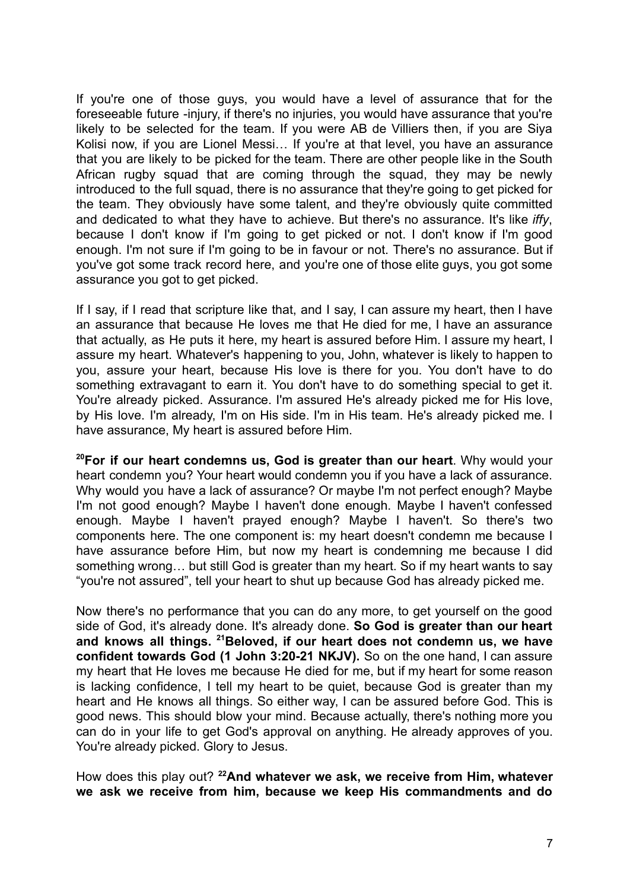If you're one of those guys, you would have a level of assurance that for the foreseeable future -injury, if there's no injuries, you would have assurance that you're likely to be selected for the team. If you were AB de Villiers then, if you are Siya Kolisi now, if you are Lionel Messi… If you're at that level, you have an assurance that you are likely to be picked for the team. There are other people like in the South African rugby squad that are coming through the squad, they may be newly introduced to the full squad, there is no assurance that they're going to get picked for the team. They obviously have some talent, and they're obviously quite committed and dedicated to what they have to achieve. But there's no assurance. It's like *iffy*, because I don't know if I'm going to get picked or not. I don't know if I'm good enough. I'm not sure if I'm going to be in favour or not. There's no assurance. But if you've got some track record here, and you're one of those elite guys, you got some assurance you got to get picked.

If I say, if I read that scripture like that, and I say, I can assure my heart, then I have an assurance that because He loves me that He died for me, I have an assurance that actually, as He puts it here, my heart is assured before Him. I assure my heart, I assure my heart. Whatever's happening to you, John, whatever is likely to happen to you, assure your heart, because His love is there for you. You don't have to do something extravagant to earn it. You don't have to do something special to get it. You're already picked. Assurance. I'm assured He's already picked me for His love, by His love. I'm already, I'm on His side. I'm in His team. He's already picked me. I have assurance, My heart is assured before Him.

**<sup>20</sup>For if our heart condemns us, God is greater than our heart**. Why would your heart condemn you? Your heart would condemn you if you have a lack of assurance. Why would you have a lack of assurance? Or maybe I'm not perfect enough? Maybe I'm not good enough? Maybe I haven't done enough. Maybe I haven't confessed enough. Maybe I haven't prayed enough? Maybe I haven't. So there's two components here. The one component is: my heart doesn't condemn me because I have assurance before Him, but now my heart is condemning me because I did something wrong… but still God is greater than my heart. So if my heart wants to say "you're not assured", tell your heart to shut up because God has already picked me.

Now there's no performance that you can do any more, to get yourself on the good side of God, it's already done. It's already done. **So God is greater than our heart and knows all things. <sup>21</sup>Beloved, if our heart does not condemn us, we have confident towards God (1 John 3:20-21 NKJV).** So on the one hand, I can assure my heart that He loves me because He died for me, but if my heart for some reason is lacking confidence, I tell my heart to be quiet, because God is greater than my heart and He knows all things. So either way, I can be assured before God. This is good news. This should blow your mind. Because actually, there's nothing more you can do in your life to get God's approval on anything. He already approves of you. You're already picked. Glory to Jesus.

How does this play out? **<sup>22</sup>And whatever we ask, we receive from Him, whatever we ask we receive from him, because we keep His commandments and do**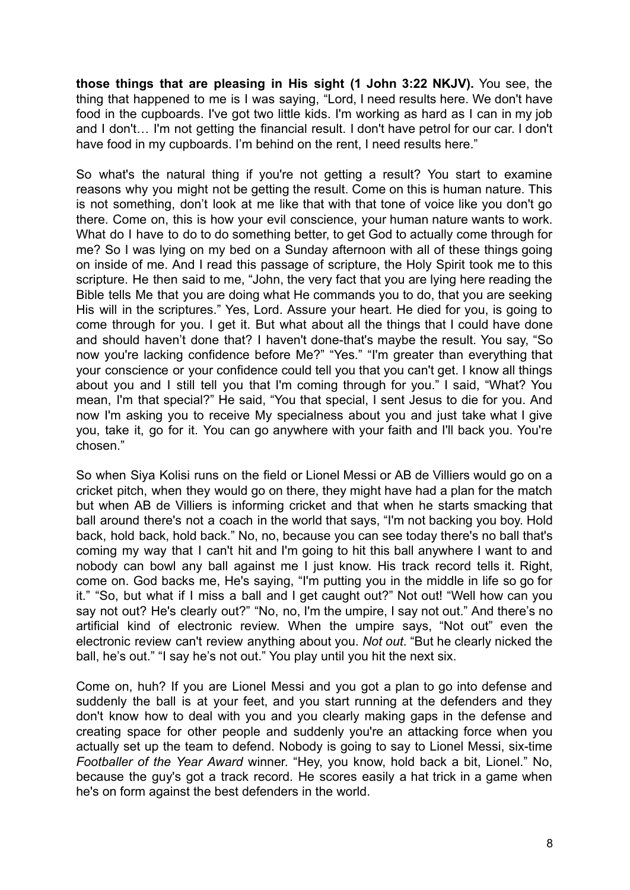**those things that are pleasing in His sight (1 John 3:22 NKJV).** You see, the thing that happened to me is I was saying, "Lord, I need results here. We don't have food in the cupboards. I've got two little kids. I'm working as hard as I can in my job and I don't… I'm not getting the financial result. I don't have petrol for our car. I don't have food in my cupboards. I'm behind on the rent, I need results here."

So what's the natural thing if you're not getting a result? You start to examine reasons why you might not be getting the result. Come on this is human nature. This is not something, don't look at me like that with that tone of voice like you don't go there. Come on, this is how your evil conscience, your human nature wants to work. What do I have to do to do something better, to get God to actually come through for me? So I was lying on my bed on a Sunday afternoon with all of these things going on inside of me. And I read this passage of scripture, the Holy Spirit took me to this scripture. He then said to me, "John, the very fact that you are lying here reading the Bible tells Me that you are doing what He commands you to do, that you are seeking His will in the scriptures." Yes, Lord. Assure your heart. He died for you, is going to come through for you. I get it. But what about all the things that I could have done and should haven't done that? I haven't done-that's maybe the result. You say, "So now you're lacking confidence before Me?" "Yes." "I'm greater than everything that your conscience or your confidence could tell you that you can't get. I know all things about you and I still tell you that I'm coming through for you." I said, "What? You mean, I'm that special?" He said, "You that special, I sent Jesus to die for you. And now I'm asking you to receive My specialness about you and just take what I give you, take it, go for it. You can go anywhere with your faith and I'll back you. You're chosen."

So when Siya Kolisi runs on the field or Lionel Messi or AB de Villiers would go on a cricket pitch, when they would go on there, they might have had a plan for the match but when AB de Villiers is informing cricket and that when he starts smacking that ball around there's not a coach in the world that says, "I'm not backing you boy. Hold back, hold back, hold back." No, no, because you can see today there's no ball that's coming my way that I can't hit and I'm going to hit this ball anywhere I want to and nobody can bowl any ball against me I just know. His track record tells it. Right, come on. God backs me, He's saying, "I'm putting you in the middle in life so go for it." "So, but what if I miss a ball and I get caught out?" Not out! "Well how can you say not out? He's clearly out?" "No, no, I'm the umpire, I say not out." And there's no artificial kind of electronic review. When the umpire says, "Not out" even the electronic review can't review anything about you. *Not out*. "But he clearly nicked the ball, he's out." "I say he's not out." You play until you hit the next six.

Come on, huh? If you are Lionel Messi and you got a plan to go into defense and suddenly the ball is at your feet, and you start running at the defenders and they don't know how to deal with you and you clearly making gaps in the defense and creating space for other people and suddenly you're an attacking force when you actually set up the team to defend. Nobody is going to say to Lionel Messi, six-time *Footballer of the Year Award* winner. "Hey, you know, hold back a bit, Lionel." No, because the guy's got a track record. He scores easily a hat trick in a game when he's on form against the best defenders in the world.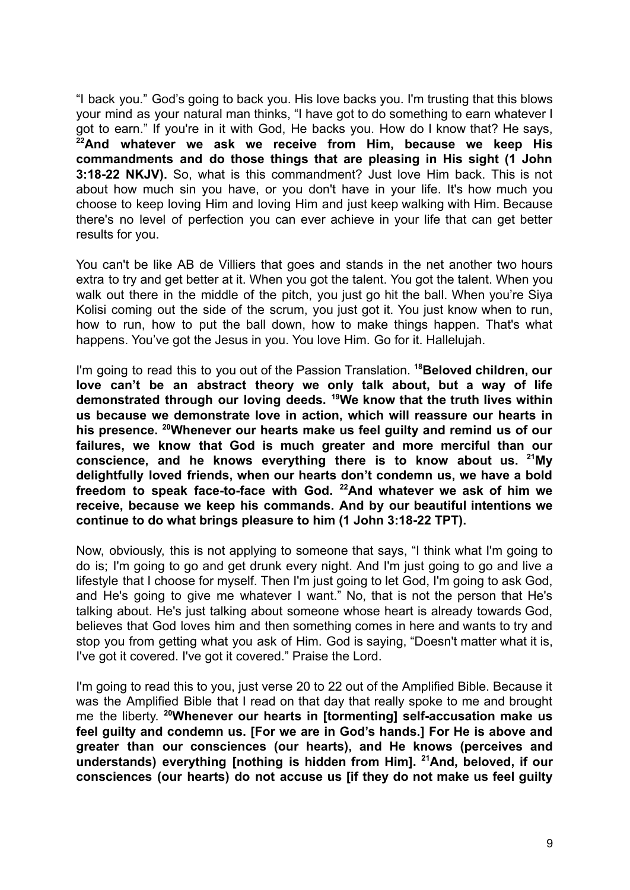"I back you." God's going to back you. His love backs you. I'm trusting that this blows your mind as your natural man thinks, "I have got to do something to earn whatever I got to earn." If you're in it with God, He backs you. How do I know that? He says, **<sup>22</sup>And whatever we ask we receive from Him, because we keep His commandments and do those things that are pleasing in His sight (1 John 3:18-22 NKJV).** So, what is this commandment? Just love Him back. This is not about how much sin you have, or you don't have in your life. It's how much you choose to keep loving Him and loving Him and just keep walking with Him. Because there's no level of perfection you can ever achieve in your life that can get better results for you.

You can't be like AB de Villiers that goes and stands in the net another two hours extra to try and get better at it. When you got the talent. You got the talent. When you walk out there in the middle of the pitch, you just go hit the ball. When you're Siya Kolisi coming out the side of the scrum, you just got it. You just know when to run, how to run, how to put the ball down, how to make things happen. That's what happens. You've got the Jesus in you. You love Him. Go for it. Hallelujah.

I'm going to read this to you out of the Passion Translation. **<sup>18</sup>Beloved children, our love can't be an abstract theory we only talk about, but a way of life demonstrated through our loving deeds. <sup>19</sup>We know that the truth lives within us because we demonstrate love in action, which will reassure our hearts in his presence. <sup>20</sup>Whenever our hearts make us feel guilty and remind us of our failures, we know that God is much greater and more merciful than our conscience, and he knows everything there is to know about us. <sup>21</sup>My delightfully loved friends, when our hearts don't condemn us, we have a bold freedom to speak face-to-face with God. <sup>22</sup>And whatever we ask of him we receive, because we keep his commands. And by our beautiful intentions we continue to do what brings pleasure to him (1 John 3:18-22 TPT).**

Now, obviously, this is not applying to someone that says, "I think what I'm going to do is; I'm going to go and get drunk every night. And I'm just going to go and live a lifestyle that I choose for myself. Then I'm just going to let God, I'm going to ask God, and He's going to give me whatever I want." No, that is not the person that He's talking about. He's just talking about someone whose heart is already towards God, believes that God loves him and then something comes in here and wants to try and stop you from getting what you ask of Him. God is saying, "Doesn't matter what it is, I've got it covered. I've got it covered." Praise the Lord.

I'm going to read this to you, just verse 20 to 22 out of the Amplified Bible. Because it was the Amplified Bible that I read on that day that really spoke to me and brought me the liberty. **<sup>20</sup>Whenever our hearts in [tormenting] self-accusation make us feel guilty and condemn us. [For we are in God's hands.] For He is above and greater than our consciences (our hearts), and He knows (perceives and understands) everything [nothing is hidden from Him]. <sup>21</sup>And, beloved, if our consciences (our hearts) do not accuse us [if they do not make us feel guilty**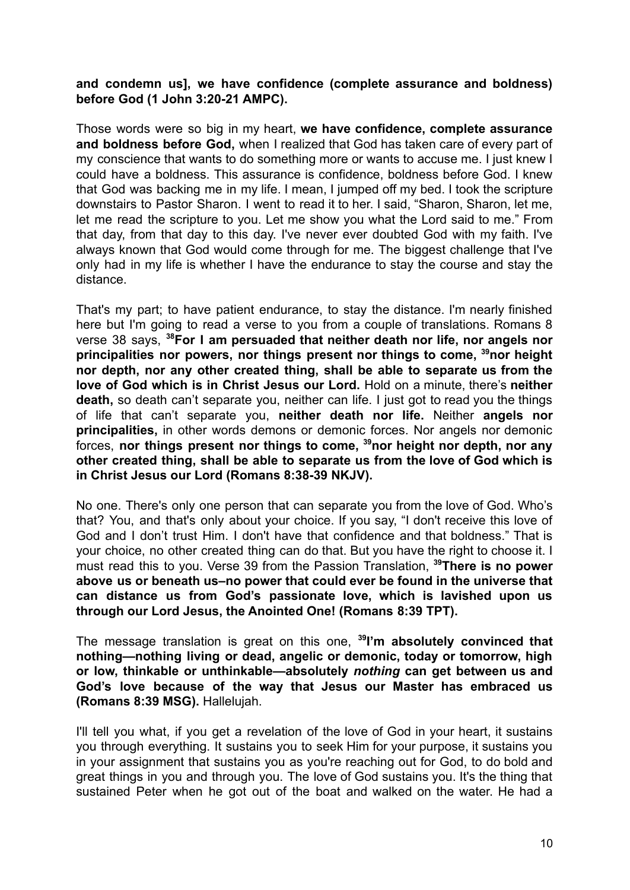## **and condemn us], we have confidence (complete assurance and boldness) before God (1 John 3:20-21 AMPC).**

Those words were so big in my heart, **we have confidence, complete assurance and boldness before God,** when I realized that God has taken care of every part of my conscience that wants to do something more or wants to accuse me. I just knew I could have a boldness. This assurance is confidence, boldness before God. I knew that God was backing me in my life. I mean, I jumped off my bed. I took the scripture downstairs to Pastor Sharon. I went to read it to her. I said, "Sharon, Sharon, let me, let me read the scripture to you. Let me show you what the Lord said to me." From that day, from that day to this day. I've never ever doubted God with my faith. I've always known that God would come through for me. The biggest challenge that I've only had in my life is whether I have the endurance to stay the course and stay the distance.

That's my part; to have patient endurance, to stay the distance. I'm nearly finished here but I'm going to read a verse to you from a couple of translations. Romans 8 verse 38 says, **<sup>38</sup>For I am persuaded that neither death nor life, nor angels nor principalities nor powers, nor things present nor things to come, <sup>39</sup>nor height nor depth, nor any other created thing, shall be able to separate us from the love of God which is in Christ Jesus our Lord.** Hold on a minute, there's **neither death,** so death can't separate you, neither can life. I just got to read you the things of life that can't separate you, **neither death nor life.** Neither **angels nor principalities,** in other words demons or demonic forces. Nor angels nor demonic forces, **nor things present nor things to come, <sup>39</sup>nor height nor depth, nor any other created thing, shall be able to separate us from the love of God which is in Christ Jesus our Lord (Romans 8:38-39 NKJV).**

No one. There's only one person that can separate you from the love of God. Who's that? You, and that's only about your choice. If you say, "I don't receive this love of God and I don't trust Him. I don't have that confidence and that boldness." That is your choice, no other created thing can do that. But you have the right to choose it. I must read this to you. Verse 39 from the Passion Translation, **<sup>39</sup>There is no power above us or beneath us–no power that could ever be found in the universe that can distance us from God's passionate love, which is lavished upon us through our Lord Jesus, the Anointed One! (Romans 8:39 TPT).**

The message translation is great on this one, **<sup>39</sup> I'm absolutely convinced that nothing—nothing living or dead, angelic or demonic, today or tomorrow, high or low, thinkable or unthinkable—absolutely** *nothing* **can get between us and God's love because of the way that Jesus our Master has embraced us (Romans 8:39 MSG).** Hallelujah.

I'll tell you what, if you get a revelation of the love of God in your heart, it sustains you through everything. It sustains you to seek Him for your purpose, it sustains you in your assignment that sustains you as you're reaching out for God, to do bold and great things in you and through you. The love of God sustains you. It's the thing that sustained Peter when he got out of the boat and walked on the water. He had a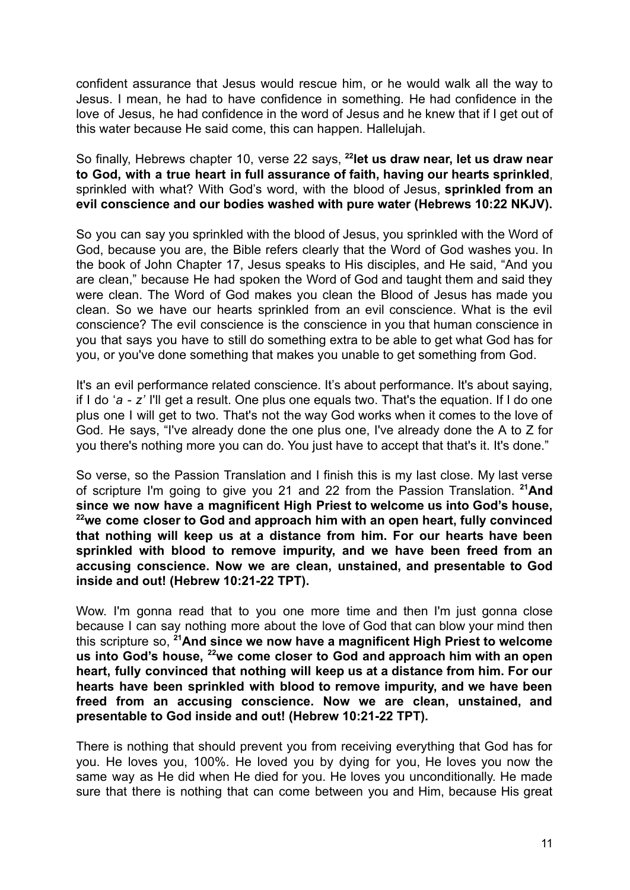confident assurance that Jesus would rescue him, or he would walk all the way to Jesus. I mean, he had to have confidence in something. He had confidence in the love of Jesus, he had confidence in the word of Jesus and he knew that if I get out of this water because He said come, this can happen. Hallelujah.

So finally, Hebrews chapter 10, verse 22 says, **<sup>22</sup> let us draw near, let us draw near to God, with a true heart in full assurance of faith, having our hearts sprinkled**, sprinkled with what? With God's word, with the blood of Jesus, **sprinkled from an evil conscience and our bodies washed with pure water (Hebrews 10:22 NKJV).**

So you can say you sprinkled with the blood of Jesus, you sprinkled with the Word of God, because you are, the Bible refers clearly that the Word of God washes you. In the book of John Chapter 17, Jesus speaks to His disciples, and He said, "And you are clean," because He had spoken the Word of God and taught them and said they were clean. The Word of God makes you clean the Blood of Jesus has made you clean. So we have our hearts sprinkled from an evil conscience. What is the evil conscience? The evil conscience is the conscience in you that human conscience in you that says you have to still do something extra to be able to get what God has for you, or you've done something that makes you unable to get something from God.

It's an evil performance related conscience. It's about performance. It's about saying, if I do '*a - z'* I'll get a result. One plus one equals two. That's the equation. If I do one plus one I will get to two. That's not the way God works when it comes to the love of God. He says, "I've already done the one plus one, I've already done the A to Z for you there's nothing more you can do. You just have to accept that that's it. It's done."

So verse, so the Passion Translation and I finish this is my last close. My last verse of scripture I'm going to give you 21 and 22 from the Passion Translation. **<sup>21</sup>And since we now have a magnificent High Priest to welcome us into God's house, <sup>22</sup>we come closer to God and approach him with an open heart, fully convinced that nothing will keep us at a distance from him. For our hearts have been sprinkled with blood to remove impurity, and we have been freed from an accusing conscience. Now we are clean, unstained, and presentable to God inside and out! (Hebrew 10:21-22 TPT).**

Wow. I'm gonna read that to you one more time and then I'm just gonna close because I can say nothing more about the love of God that can blow your mind then this scripture so, **<sup>21</sup>And since we now have a magnificent High Priest to welcome us into God's house, <sup>22</sup>we come closer to God and approach him with an open heart, fully convinced that nothing will keep us at a distance from him. For our hearts have been sprinkled with blood to remove impurity, and we have been freed from an accusing conscience. Now we are clean, unstained, and presentable to God inside and out! (Hebrew 10:21-22 TPT).**

There is nothing that should prevent you from receiving everything that God has for you. He loves you, 100%. He loved you by dying for you, He loves you now the same way as He did when He died for you. He loves you unconditionally. He made sure that there is nothing that can come between you and Him, because His great